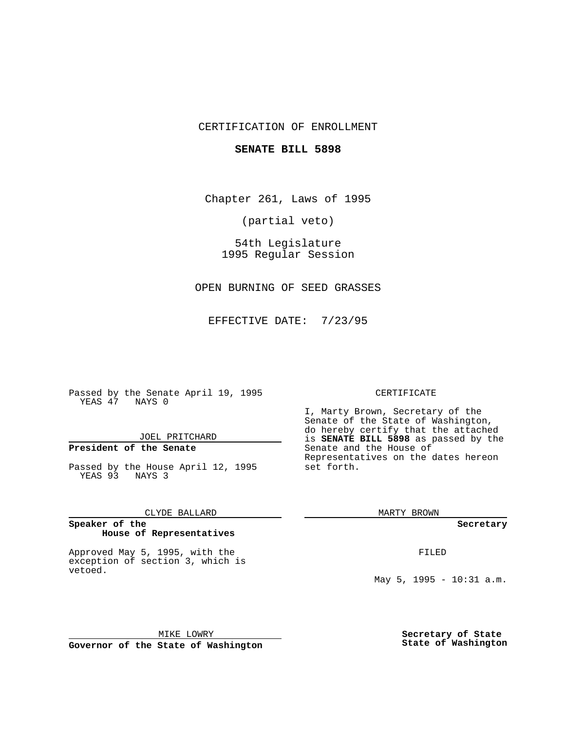## CERTIFICATION OF ENROLLMENT

### **SENATE BILL 5898**

Chapter 261, Laws of 1995

(partial veto)

54th Legislature 1995 Regular Session

OPEN BURNING OF SEED GRASSES

EFFECTIVE DATE: 7/23/95

Passed by the Senate April 19, 1995 YEAS 47 NAYS 0

JOEL PRITCHARD

# **President of the Senate**

Passed by the House April 12, 1995 YEAS 93 NAYS 3

CLYDE BALLARD

#### **Speaker of the House of Representatives**

Approved May 5, 1995, with the exception of section 3, which is vetoed.

#### CERTIFICATE

I, Marty Brown, Secretary of the Senate of the State of Washington, do hereby certify that the attached is **SENATE BILL 5898** as passed by the Senate and the House of Representatives on the dates hereon set forth.

MARTY BROWN

**Secretary**

FILED

May 5, 1995 - 10:31 a.m.

MIKE LOWRY **Governor of the State of Washington** **Secretary of State State of Washington**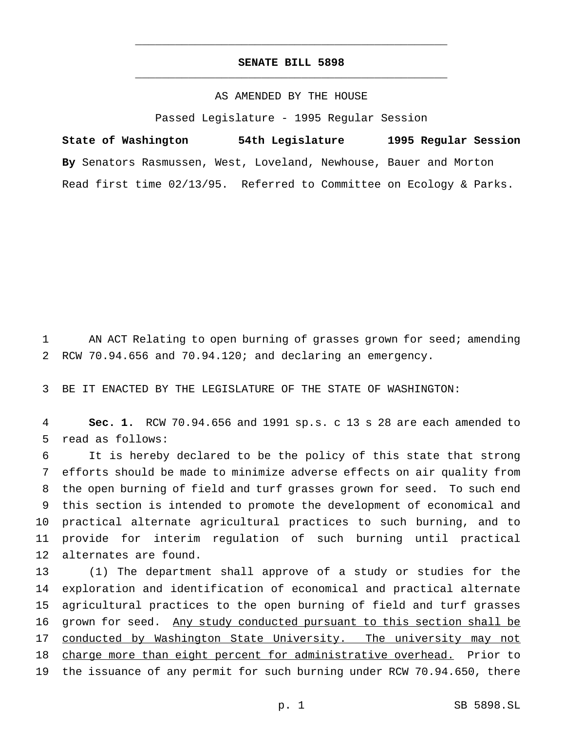## **SENATE BILL 5898** \_\_\_\_\_\_\_\_\_\_\_\_\_\_\_\_\_\_\_\_\_\_\_\_\_\_\_\_\_\_\_\_\_\_\_\_\_\_\_\_\_\_\_\_\_\_\_

\_\_\_\_\_\_\_\_\_\_\_\_\_\_\_\_\_\_\_\_\_\_\_\_\_\_\_\_\_\_\_\_\_\_\_\_\_\_\_\_\_\_\_\_\_\_\_

## AS AMENDED BY THE HOUSE

Passed Legislature - 1995 Regular Session

**State of Washington 54th Legislature 1995 Regular Session By** Senators Rasmussen, West, Loveland, Newhouse, Bauer and Morton Read first time 02/13/95. Referred to Committee on Ecology & Parks.

1 AN ACT Relating to open burning of grasses grown for seed; amending 2 RCW 70.94.656 and 70.94.120; and declaring an emergency.

3 BE IT ENACTED BY THE LEGISLATURE OF THE STATE OF WASHINGTON:

4 **Sec. 1.** RCW 70.94.656 and 1991 sp.s. c 13 s 28 are each amended to 5 read as follows:

 It is hereby declared to be the policy of this state that strong efforts should be made to minimize adverse effects on air quality from the open burning of field and turf grasses grown for seed. To such end this section is intended to promote the development of economical and practical alternate agricultural practices to such burning, and to provide for interim regulation of such burning until practical alternates are found.

13 (1) The department shall approve of a study or studies for the 14 exploration and identification of economical and practical alternate 15 agricultural practices to the open burning of field and turf grasses 16 grown for seed. Any study conducted pursuant to this section shall be 17 conducted by Washington State University. The university may not 18 charge more than eight percent for administrative overhead. Prior to 19 the issuance of any permit for such burning under RCW 70.94.650, there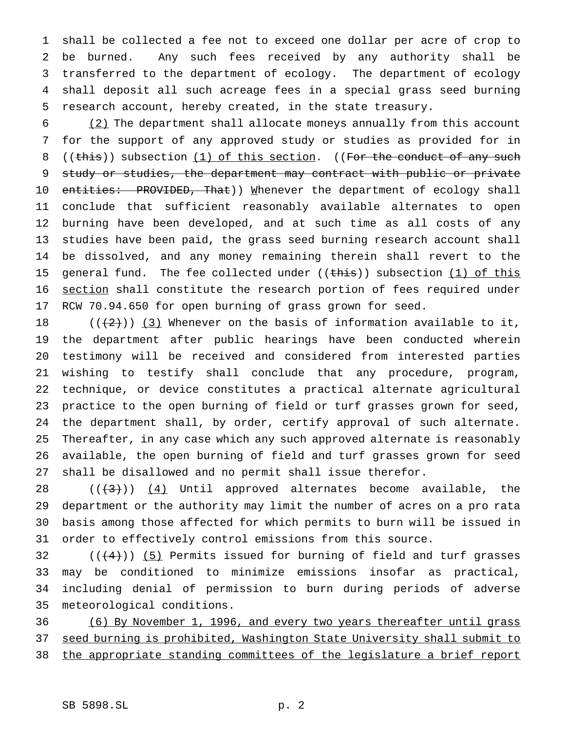shall be collected a fee not to exceed one dollar per acre of crop to be burned. Any such fees received by any authority shall be transferred to the department of ecology. The department of ecology shall deposit all such acreage fees in a special grass seed burning research account, hereby created, in the state treasury.

 (2) The department shall allocate moneys annually from this account for the support of any approved study or studies as provided for in 8 ((this)) subsection (1) of this section. ((For the conduct of any such study or studies, the department may contract with public or private 10 entities: PROVIDED, That)) Mhenever the department of ecology shall conclude that sufficient reasonably available alternates to open burning have been developed, and at such time as all costs of any studies have been paid, the grass seed burning research account shall be dissolved, and any money remaining therein shall revert to the 15 general fund. The fee collected under  $((\text{this}))$  subsection  $(1)$  of this section shall constitute the research portion of fees required under RCW 70.94.650 for open burning of grass grown for seed.

 $((+2))$   $(3)$  Whenever on the basis of information available to it, the department after public hearings have been conducted wherein testimony will be received and considered from interested parties wishing to testify shall conclude that any procedure, program, technique, or device constitutes a practical alternate agricultural practice to the open burning of field or turf grasses grown for seed, the department shall, by order, certify approval of such alternate. Thereafter, in any case which any such approved alternate is reasonably available, the open burning of field and turf grasses grown for seed shall be disallowed and no permit shall issue therefor.

 $((+3))$   $(4)$  Until approved alternates become available, the department or the authority may limit the number of acres on a pro rata basis among those affected for which permits to burn will be issued in order to effectively control emissions from this source.

 $((+4))$  (5) Permits issued for burning of field and turf grasses may be conditioned to minimize emissions insofar as practical, including denial of permission to burn during periods of adverse meteorological conditions.

 (6) By November 1, 1996, and every two years thereafter until grass seed burning is prohibited, Washington State University shall submit to the appropriate standing committees of the legislature a brief report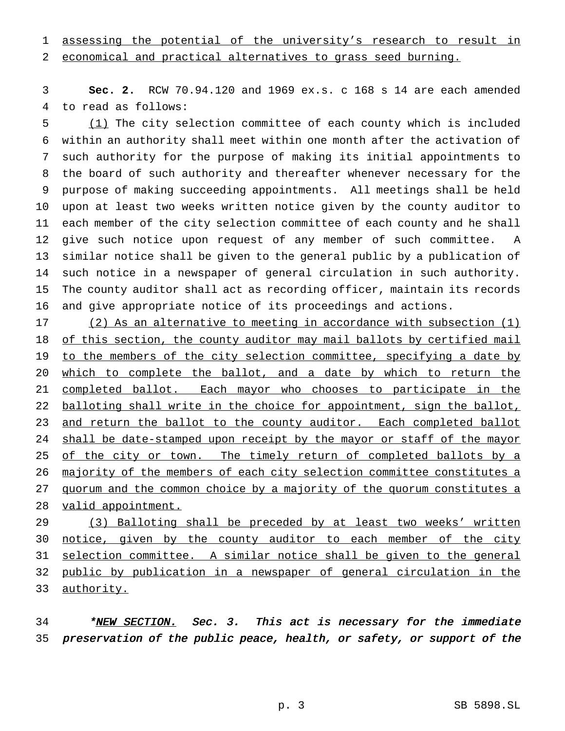# assessing the potential of the university's research to result in

economical and practical alternatives to grass seed burning.

 **Sec. 2.** RCW 70.94.120 and 1969 ex.s. c 168 s 14 are each amended to read as follows:

 (1) The city selection committee of each county which is included within an authority shall meet within one month after the activation of such authority for the purpose of making its initial appointments to the board of such authority and thereafter whenever necessary for the purpose of making succeeding appointments. All meetings shall be held upon at least two weeks written notice given by the county auditor to each member of the city selection committee of each county and he shall give such notice upon request of any member of such committee. A similar notice shall be given to the general public by a publication of such notice in a newspaper of general circulation in such authority. The county auditor shall act as recording officer, maintain its records and give appropriate notice of its proceedings and actions.

 (2) As an alternative to meeting in accordance with subsection (1) 18 of this section, the county auditor may mail ballots by certified mail 19 to the members of the city selection committee, specifying a date by which to complete the ballot, and a date by which to return the completed ballot. Each mayor who chooses to participate in the 22 balloting shall write in the choice for appointment, sign the ballot, 23 and return the ballot to the county auditor. Each completed ballot 24 shall be date-stamped upon receipt by the mayor or staff of the mayor 25 of the city or town. The timely return of completed ballots by a majority of the members of each city selection committee constitutes a 27 quorum and the common choice by a majority of the quorum constitutes a 28 valid appointment.

29 (3) Balloting shall be preceded by at least two weeks' written 30 notice, given by the county auditor to each member of the city selection committee. A similar notice shall be given to the general public by publication in a newspaper of general circulation in the 33 authority.

34 \*NEW SECTION. Sec. 3. This act is necessary for the immediate preservation of the public peace, health, or safety, or support of the